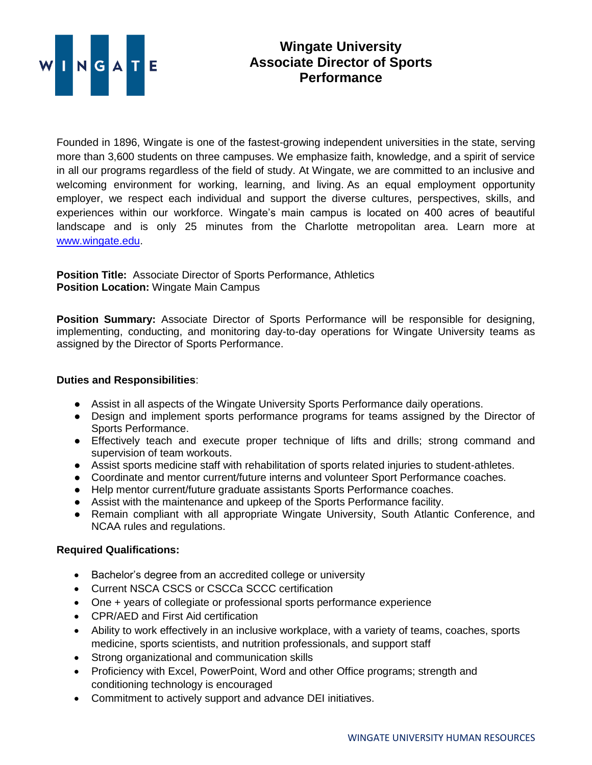

## **Wingate University Associate Director of Sports Performance**

Founded in 1896, Wingate is one of the fastest-growing independent universities in the state, serving more than 3,600 students on three campuses. We emphasize faith, knowledge, and a spirit of service in all our programs regardless of the field of study. At Wingate, we are committed to an inclusive and welcoming environment for working, learning, and living. As an equal employment opportunity employer, we respect each individual and support the diverse cultures, perspectives, skills, and experiences within our workforce. Wingate's main campus is located on 400 acres of beautiful landscape and is only 25 minutes from the Charlotte metropolitan area. Learn more at [www.wingate.edu.](http://www.wingate/edu)

**Position Title:** Associate Director of Sports Performance, Athletics **Position Location:** Wingate Main Campus

**Position Summary:** Associate Director of Sports Performance will be responsible for designing, implementing, conducting, and monitoring day-to-day operations for Wingate University teams as assigned by the Director of Sports Performance.

## **Duties and Responsibilities**:

- Assist in all aspects of the Wingate University Sports Performance daily operations.
- Design and implement sports performance programs for teams assigned by the Director of Sports Performance.
- Effectively teach and execute proper technique of lifts and drills; strong command and supervision of team workouts.
- Assist sports medicine staff with rehabilitation of sports related injuries to student-athletes.
- Coordinate and mentor current/future interns and volunteer Sport Performance coaches.
- Help mentor current/future graduate assistants Sports Performance coaches.
- Assist with the maintenance and upkeep of the Sports Performance facility.
- Remain compliant with all appropriate Wingate University, South Atlantic Conference, and NCAA rules and regulations.

## **Required Qualifications:**

- Bachelor's degree from an accredited college or university
- Current NSCA CSCS or CSCCa SCCC certification
- One + years of collegiate or professional sports performance experience
- CPR/AED and First Aid certification
- Ability to work effectively in an inclusive workplace, with a variety of teams, coaches, sports medicine, sports scientists, and nutrition professionals, and support staff
- Strong organizational and communication skills
- Proficiency with Excel, PowerPoint, Word and other Office programs; strength and conditioning technology is encouraged
- Commitment to actively support and advance DEI initiatives.